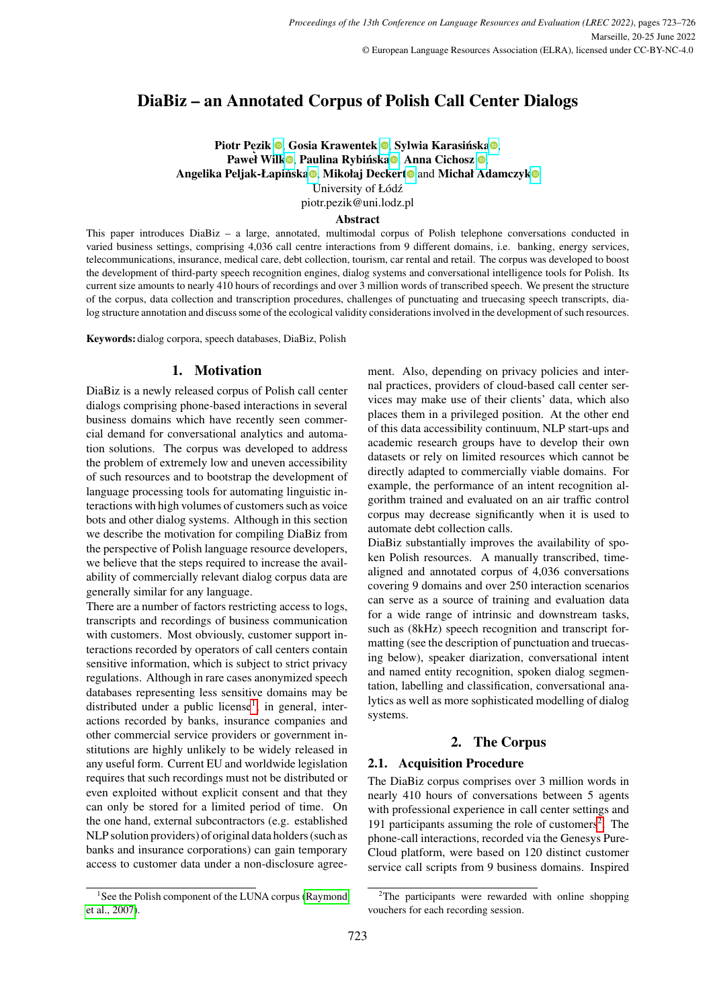# DiaBiz – an Annotated Corpus of Polish Call Center Dialogs

Piotr Pezik <sup>®</sup>[,](https://orcid.org/0000-0002-1106-1621) Gosia Krawentek <sup>®</sup>, Sylwia Karasińska<sup>®</sup>, Paweł Wilk<sup>o</sup>[,](https://orcid.org/0000-0002-4095-5632) Paulina Rybińska<sup>o</sup>, Anna Cichosz <sup>o</sup>, Angelika Peljak-Łapińska<sup>o</sup>[,](https://orcid.org/0000-0001-6102-1815) Mikołaj Decker[t](https://orcid.org/0000-0003-1569-2399)<sup>o</sup> and Michał Adamczy[k](https://orcid.org/0000-0002-8333-182X)<sup>o</sup>

University of Łódź

piotr.pezik@uni.lodz.pl

#### Abstract

This paper introduces DiaBiz – a large, annotated, multimodal corpus of Polish telephone conversations conducted in varied business settings, comprising 4,036 call centre interactions from 9 different domains, i.e. banking, energy services, telecommunications, insurance, medical care, debt collection, tourism, car rental and retail. The corpus was developed to boost the development of third-party speech recognition engines, dialog systems and conversational intelligence tools for Polish. Its current size amounts to nearly 410 hours of recordings and over 3 million words of transcribed speech. We present the structure of the corpus, data collection and transcription procedures, challenges of punctuating and truecasing speech transcripts, dialog structure annotation and discuss some of the ecological validity considerations involved in the development of such resources.

Keywords: dialog corpora, speech databases, DiaBiz, Polish

### 1. Motivation

DiaBiz is a newly released corpus of Polish call center dialogs comprising phone-based interactions in several business domains which have recently seen commercial demand for conversational analytics and automation solutions. The corpus was developed to address the problem of extremely low and uneven accessibility of such resources and to bootstrap the development of language processing tools for automating linguistic interactions with high volumes of customers such as voice bots and other dialog systems. Although in this section we describe the motivation for compiling DiaBiz from the perspective of Polish language resource developers, we believe that the steps required to increase the availability of commercially relevant dialog corpus data are generally similar for any language.

There are a number of factors restricting access to logs, transcripts and recordings of business communication with customers. Most obviously, customer support interactions recorded by operators of call centers contain sensitive information, which is subject to strict privacy regulations. Although in rare cases anonymized speech databases representing less sensitive domains may be distributed under a public license<sup>[1](#page-0-0)</sup>, in general, interactions recorded by banks, insurance companies and other commercial service providers or government institutions are highly unlikely to be widely released in any useful form. Current EU and worldwide legislation requires that such recordings must not be distributed or even exploited without explicit consent and that they can only be stored for a limited period of time. On the one hand, external subcontractors (e.g. established NLP solution providers) of original data holders (such as banks and insurance corporations) can gain temporary access to customer data under a non-disclosure agree-

<span id="page-0-0"></span><sup>1</sup> See the Polish component of the LUNA corpus [\(Raymond](#page-3-0) [et al., 2007\)](#page-3-0).

ment. Also, depending on privacy policies and internal practices, providers of cloud-based call center services may make use of their clients' data, which also places them in a privileged position. At the other end of this data accessibility continuum, NLP start-ups and academic research groups have to develop their own datasets or rely on limited resources which cannot be directly adapted to commercially viable domains. For example, the performance of an intent recognition algorithm trained and evaluated on an air traffic control corpus may decrease significantly when it is used to automate debt collection calls.

DiaBiz substantially improves the availability of spoken Polish resources. A manually transcribed, timealigned and annotated corpus of 4,036 conversations covering 9 domains and over 250 interaction scenarios can serve as a source of training and evaluation data for a wide range of intrinsic and downstream tasks, such as (8kHz) speech recognition and transcript formatting (see the description of punctuation and truecasing below), speaker diarization, conversational intent and named entity recognition, spoken dialog segmentation, labelling and classification, conversational analytics as well as more sophisticated modelling of dialog systems.

# 2. The Corpus

# 2.1. Acquisition Procedure

The DiaBiz corpus comprises over 3 million words in nearly 410 hours of conversations between 5 agents with professional experience in call center settings and 191 participants assuming the role of customers<sup>[2](#page-0-1)</sup>. The phone-call interactions, recorded via the Genesys Pure-Cloud platform, were based on 120 distinct customer service call scripts from 9 business domains. Inspired

<span id="page-0-1"></span><sup>&</sup>lt;sup>2</sup>The participants were rewarded with online shopping vouchers for each recording session.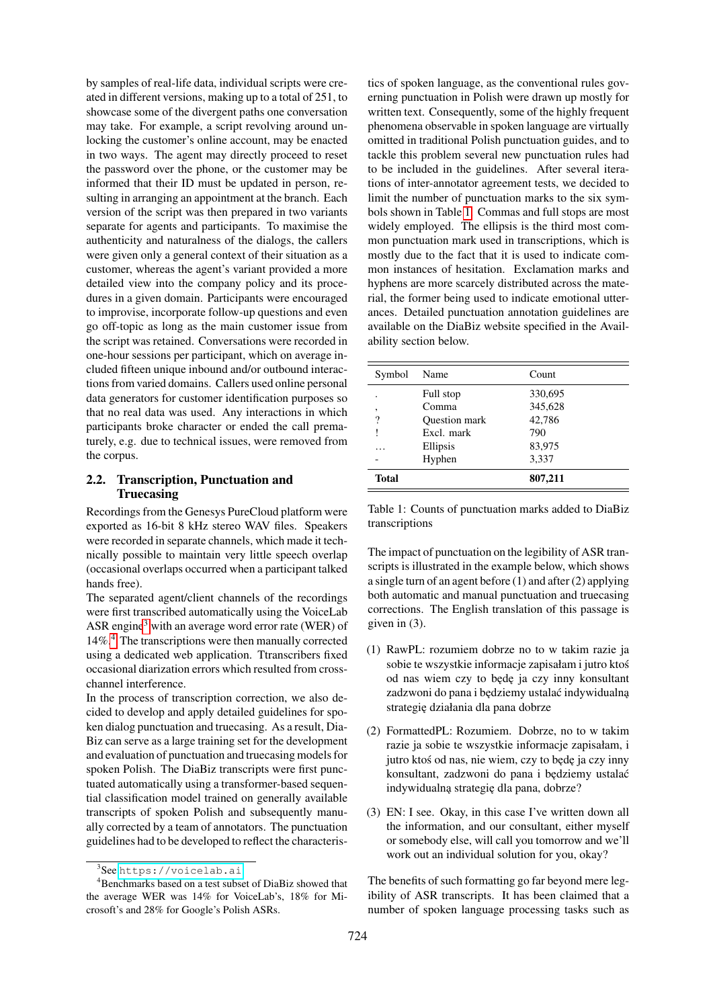by samples of real-life data, individual scripts were created in different versions, making up to a total of 251, to showcase some of the divergent paths one conversation may take. For example, a script revolving around unlocking the customer's online account, may be enacted in two ways. The agent may directly proceed to reset the password over the phone, or the customer may be informed that their ID must be updated in person, resulting in arranging an appointment at the branch. Each version of the script was then prepared in two variants separate for agents and participants. To maximise the authenticity and naturalness of the dialogs, the callers were given only a general context of their situation as a customer, whereas the agent's variant provided a more detailed view into the company policy and its procedures in a given domain. Participants were encouraged to improvise, incorporate follow-up questions and even go off-topic as long as the main customer issue from the script was retained. Conversations were recorded in one-hour sessions per participant, which on average included fifteen unique inbound and/or outbound interactions from varied domains. Callers used online personal data generators for customer identification purposes so that no real data was used. Any interactions in which participants broke character or ended the call prematurely, e.g. due to technical issues, were removed from the corpus.

# 2.2. Transcription, Punctuation and **Truecasing**

Recordings from the Genesys PureCloud platform were exported as 16-bit 8 kHz stereo WAV files. Speakers were recorded in separate channels, which made it technically possible to maintain very little speech overlap (occasional overlaps occurred when a participant talked hands free).

The separated agent/client channels of the recordings were first transcribed automatically using the VoiceLab ASR engine<sup>[3](#page-1-0)</sup> with an average word error rate (WER) of 14%.[4](#page-1-1) The transcriptions were then manually corrected using a dedicated web application. Ttranscribers fixed occasional diarization errors which resulted from crosschannel interference.

In the process of transcription correction, we also decided to develop and apply detailed guidelines for spoken dialog punctuation and truecasing. As a result, Dia-Biz can serve as a large training set for the development and evaluation of punctuation and truecasing models for spoken Polish. The DiaBiz transcripts were first punctuated automatically using a transformer-based sequential classification model trained on generally available transcripts of spoken Polish and subsequently manually corrected by a team of annotators. The punctuation guidelines had to be developed to reflect the characteris-

tics of spoken language, as the conventional rules governing punctuation in Polish were drawn up mostly for written text. Consequently, some of the highly frequent phenomena observable in spoken language are virtually omitted in traditional Polish punctuation guides, and to tackle this problem several new punctuation rules had to be included in the guidelines. After several iterations of inter-annotator agreement tests, we decided to limit the number of punctuation marks to the six symbols shown in Table [1.](#page-1-2) Commas and full stops are most widely employed. The ellipsis is the third most common punctuation mark used in transcriptions, which is mostly due to the fact that it is used to indicate common instances of hesitation. Exclamation marks and hyphens are more scarcely distributed across the material, the former being used to indicate emotional utterances. Detailed punctuation annotation guidelines are available on the DiaBiz website specified in the Availability section below.

| Symbol       | Name                 | Count   |
|--------------|----------------------|---------|
|              | Full stop            | 330,695 |
| ,            | Comma                | 345,628 |
| ?            | <b>Ouestion mark</b> | 42,786  |
|              | Excl. mark           | 790     |
|              | Ellipsis             | 83,975  |
|              | Hyphen               | 3,337   |
| <b>Total</b> |                      | 807,211 |

<span id="page-1-2"></span>Table 1: Counts of punctuation marks added to DiaBiz transcriptions

The impact of punctuation on the legibility of ASR transcripts is illustrated in the example below, which shows a single turn of an agent before (1) and after (2) applying both automatic and manual punctuation and truecasing corrections. The English translation of this passage is given in (3).

- (1) RawPL: rozumiem dobrze no to w takim razie ja sobie te wszystkie informacje zapisałam i jutro ktoś od nas wiem czy to będę ja czy inny konsultant zadzwoni do pana i będziemy ustalać indywidualną strategię działania dla pana dobrze
- (2) FormattedPL: Rozumiem. Dobrze, no to w takim razie ja sobie te wszystkie informacje zapisałam, i jutro ktoś od nas, nie wiem, czy to będę ja czy inny konsultant, zadzwoni do pana i będziemy ustalać indywidualną strategię dla pana, dobrze?
- (3) EN: I see. Okay, in this case I've written down all the information, and our consultant, either myself or somebody else, will call you tomorrow and we'll work out an individual solution for you, okay?

The benefits of such formatting go far beyond mere legibility of ASR transcripts. It has been claimed that a number of spoken language processing tasks such as

<span id="page-1-1"></span><span id="page-1-0"></span><sup>3</sup> See <https://voicelab.ai>.

<sup>4</sup>Benchmarks based on a test subset of DiaBiz showed that the average WER was 14% for VoiceLab's, 18% for Microsoft's and 28% for Google's Polish ASRs.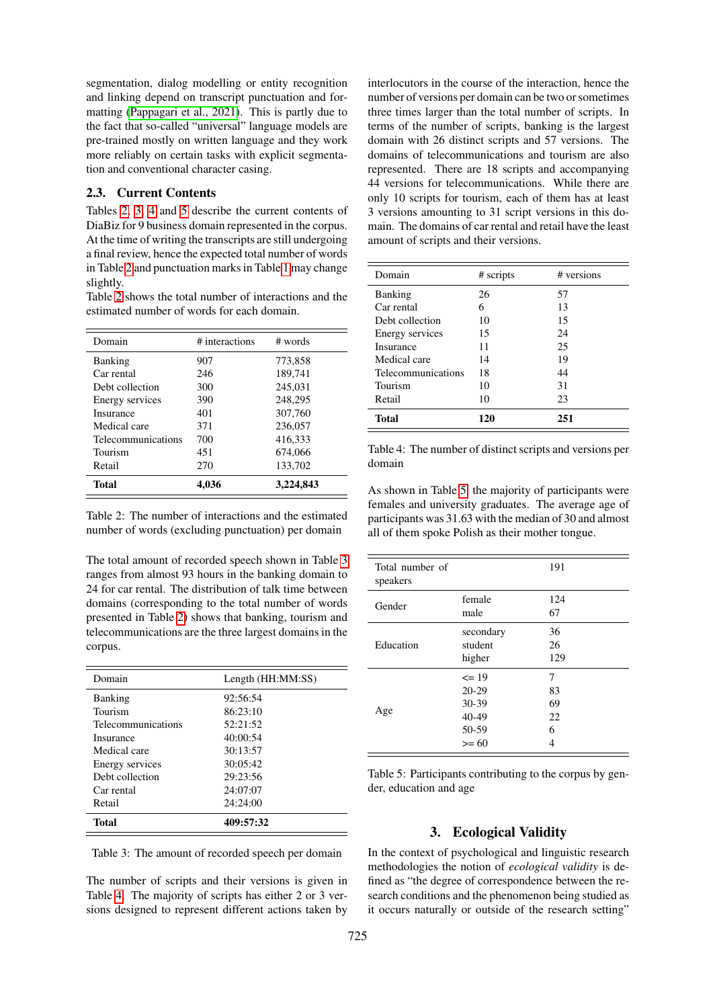segmentation, dialog modelling or entity recognition and linking depend on transcript punctuation and formatting [\(Pappagari et al., 2021\)](#page-3-1). This is partly due to the fact that so-called "universal" language models are pre-trained mostly on written language and they work more reliably on certain tasks with explicit segmentation and conventional character casing.

# 2.3. Current Contents

Tables [2,](#page-2-0) [3,](#page-2-1) [4](#page-2-2) and [5](#page-2-3) describe the current contents of DiaBiz for 9 business domain represented in the corpus. At the time of writing the transcripts are still undergoing a final review, hence the expected total number of words in Table [2](#page-2-0) and punctuation marks in Table [1](#page-1-2) may change slightly.

Table [2](#page-2-0) shows the total number of interactions and the estimated number of words for each domain.

| Domain             | # interactions | # words   |
|--------------------|----------------|-----------|
| <b>Banking</b>     | 907            | 773,858   |
| Car rental         | 246            | 189,741   |
| Debt collection    | 300            | 245,031   |
| Energy services    | 390            | 248,295   |
| Insurance          | 401            | 307,760   |
| Medical care       | 371            | 236,057   |
| Telecommunications | 700            | 416,333   |
| Tourism            | 451            | 674,066   |
| Retail             | 270            | 133,702   |
| <b>Total</b>       | 4,036          | 3,224,843 |

<span id="page-2-0"></span>Table 2: The number of interactions and the estimated number of words (excluding punctuation) per domain

The total amount of recorded speech shown in Table [3](#page-2-1) ranges from almost 93 hours in the banking domain to 24 for car rental. The distribution of talk time between domains (corresponding to the total number of words presented in Table [2\)](#page-2-0) shows that banking, tourism and telecommunications are the three largest domains in the corpus.

| Domain             | Length (HH:MM:SS) |  |
|--------------------|-------------------|--|
| Banking            | 92:56:54          |  |
| Tourism            | 86:23:10          |  |
| Telecommunications | 52:21:52          |  |
| Insurance          | 40:00:54          |  |
| Medical care       | 30:13:57          |  |
| Energy services    | 30:05:42          |  |
| Debt collection    | 29:23:56          |  |
| Car rental         | 24:07:07          |  |
| Retail             | 24:24:00          |  |
| <b>Total</b>       | 409:57:32         |  |

<span id="page-2-1"></span>Table 3: The amount of recorded speech per domain

The number of scripts and their versions is given in Table [4.](#page-2-2) The majority of scripts has either 2 or 3 versions designed to represent different actions taken by

interlocutors in the course of the interaction, hence the number of versions per domain can be two or sometimes three times larger than the total number of scripts. In terms of the number of scripts, banking is the largest domain with 26 distinct scripts and 57 versions. The domains of telecommunications and tourism are also represented. There are 18 scripts and accompanying 44 versions for telecommunications. While there are only 10 scripts for tourism, each of them has at least 3 versions amounting to 31 script versions in this domain. The domains of car rental and retail have the least amount of scripts and their versions.

| Domain             | # scripts | # versions |
|--------------------|-----------|------------|
| Banking            | 26        | 57         |
| Car rental         | 6         | 13         |
| Debt collection    | 10        | 15         |
| Energy services    | 15        | 24         |
| Insurance          | 11        | 25         |
| Medical care       | 14        | 19         |
| Telecommunications | 18        | 44         |
| Tourism            | 10        | 31         |
| Retail             | 10        | 23         |
| <b>Total</b>       | 120       | 251        |

<span id="page-2-2"></span>Table 4: The number of distinct scripts and versions per domain

As shown in Table [5,](#page-2-3) the majority of participants were females and university graduates. The average age of participants was 31.63 with the median of 30 and almost all of them spoke Polish as their mother tongue.

| Total number of<br>speakers |                                                              | 191                           |
|-----------------------------|--------------------------------------------------------------|-------------------------------|
| Gender                      | female<br>male                                               | 124<br>67                     |
| Education                   | secondary<br>student<br>higher                               | 36<br>26<br>129               |
| Age                         | $\leq$ 19<br>$20 - 29$<br>30-39<br>40-49<br>50-59<br>$>= 60$ | 7<br>83<br>69<br>22<br>6<br>4 |

<span id="page-2-3"></span>Table 5: Participants contributing to the corpus by gender, education and age

### 3. Ecological Validity

In the context of psychological and linguistic research methodologies the notion of *ecological validity* is defined as "the degree of correspondence between the research conditions and the phenomenon being studied as it occurs naturally or outside of the research setting"